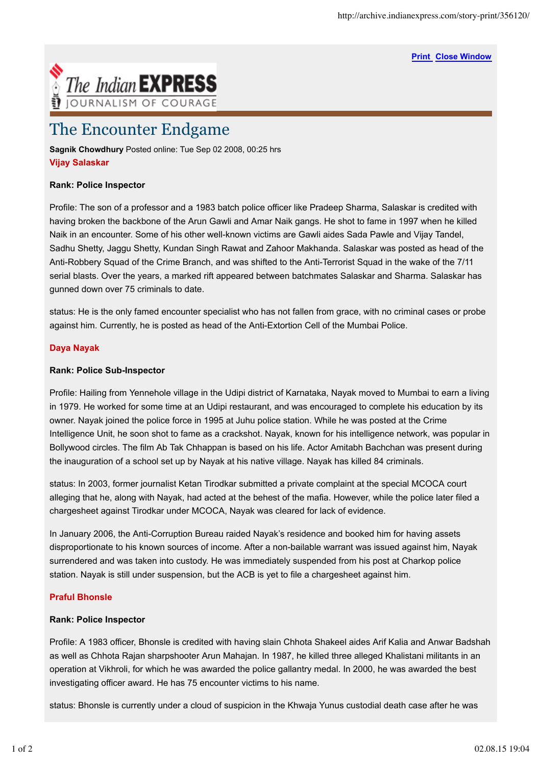**Print Close Window**



# The Encounter Endgame

**Sagnik Chowdhury** Posted online: Tue Sep 02 2008, 00:25 hrs **Vijay Salaskar**

# **Rank: Police Inspector**

Profile: The son of a professor and a 1983 batch police officer like Pradeep Sharma, Salaskar is credited with having broken the backbone of the Arun Gawli and Amar Naik gangs. He shot to fame in 1997 when he killed Naik in an encounter. Some of his other well-known victims are Gawli aides Sada Pawle and Vijay Tandel, Sadhu Shetty, Jaggu Shetty, Kundan Singh Rawat and Zahoor Makhanda. Salaskar was posted as head of the Anti-Robbery Squad of the Crime Branch, and was shifted to the Anti-Terrorist Squad in the wake of the 7/11 serial blasts. Over the years, a marked rift appeared between batchmates Salaskar and Sharma. Salaskar has gunned down over 75 criminals to date.

status: He is the only famed encounter specialist who has not fallen from grace, with no criminal cases or probe against him. Currently, he is posted as head of the Anti-Extortion Cell of the Mumbai Police.

#### **Daya Nayak**

#### **Rank: Police Sub-Inspector**

Profile: Hailing from Yennehole village in the Udipi district of Karnataka, Nayak moved to Mumbai to earn a living in 1979. He worked for some time at an Udipi restaurant, and was encouraged to complete his education by its owner. Nayak joined the police force in 1995 at Juhu police station. While he was posted at the Crime Intelligence Unit, he soon shot to fame as a crackshot. Nayak, known for his intelligence network, was popular in Bollywood circles. The film Ab Tak Chhappan is based on his life. Actor Amitabh Bachchan was present during the inauguration of a school set up by Nayak at his native village. Nayak has killed 84 criminals.

status: In 2003, former journalist Ketan Tirodkar submitted a private complaint at the special MCOCA court alleging that he, along with Nayak, had acted at the behest of the mafia. However, while the police later filed a chargesheet against Tirodkar under MCOCA, Nayak was cleared for lack of evidence.

In January 2006, the Anti-Corruption Bureau raided Nayak's residence and booked him for having assets disproportionate to his known sources of income. After a non-bailable warrant was issued against him, Nayak surrendered and was taken into custody. He was immediately suspended from his post at Charkop police station. Nayak is still under suspension, but the ACB is yet to file a chargesheet against him.

# **Praful Bhonsle**

# **Rank: Police Inspector**

Profile: A 1983 officer, Bhonsle is credited with having slain Chhota Shakeel aides Arif Kalia and Anwar Badshah as well as Chhota Rajan sharpshooter Arun Mahajan. In 1987, he killed three alleged Khalistani militants in an operation at Vikhroli, for which he was awarded the police gallantry medal. In 2000, he was awarded the best investigating officer award. He has 75 encounter victims to his name.

status: Bhonsle is currently under a cloud of suspicion in the Khwaja Yunus custodial death case after he was